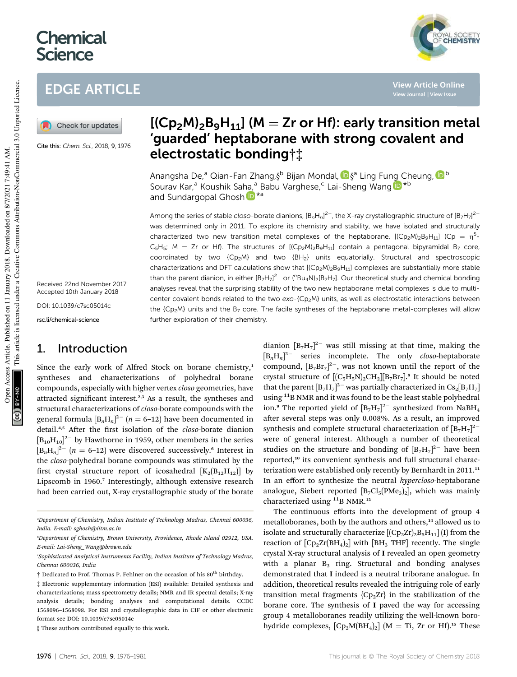# **Chemical Science**



**View Article Online**



Cite this: Chem. Sci., 2018, 9, 1976

Received 22nd November 2017 Accepted 10th January 2018

DOI: 10.1039/c7sc05014c

rsc.li/chemical-science

## 1. Introduction

Since the early work of Alfred Stock on borane chemistry,<sup>1</sup> syntheses and characterizations of polyhedral borane compounds, especially with higher vertex *closo* geometries, have attracted significant interest. $2,3$  As a result, the syntheses and structural characterizations of *closo*-borate compounds with the general formula  $[B_n H_n]^{2-}$   $(n = 6-12)$  have been documented in detail.<sup>4,5</sup> After the first isolation of the *closo*-borate dianion  $\left[\text{B}_{10}\text{H}_{10}\right]^{2-}$  by Hawthorne in 1959, other members in the series  $\left[\text{B}_{n}\text{H}_{n}\right]^{2-}$  (*n* = 6–12) were discovered successively.<sup>6</sup> Interest in the *closo*-polyhedral borane compounds was stimulated by the first crystal structure report of icosahedral  $[K_2(B_{12}H_{12})]$  by Lipscomb in 1960.<sup>7</sup> Interestingly, although extensive research had been carried out, X-ray crystallographic study of the borate

§ These authors contributed equally to this work.

This article is licensed under a Creative Commons Attribution-NonCommercial 3.0 Unported Licence.

# $[(Cp<sub>2</sub>M)<sub>2</sub>B<sub>9</sub>H<sub>11</sub>]$  (M = Zr or Hf): early transition metal 'guarded' heptaborane with strong covalent and electrostatic bonding†‡

Anangsha De,<sup>a</sup> Qian-Fan Zhang,§<sup>b</sup> Bijan Mondal, <mark>D</mark> §<sup>a</sup> Ling Fung Cheung, <mark>D</mark> <sup>b</sup> Sourav Kar,<sup>a</sup> Koushik Saha,<sup>a</sup> Babu Varghese,<sup>c</sup> Lai-Sheng Wang D<sup>\*b</sup> and Sundargopal Ghosh D<sup>\*a</sup>

Among the series of stable closo-borate dianions,  $[B_nH_n]^{2-}$ , the X-ray crystallographic structure of  $[B_7H_7]^{2-}$ was determined only in 2011. To explore its chemistry and stability, we have isolated and structurally characterized two new transition metal complexes of the heptaborane,  $[(Cp_2M)_2B_9H_{11}]$  (Cp =  $\eta^5$ - $C_5H_5$ ; M = Zr or Hf). The structures of  $[(Cp_2M)_2B_9H_{11}]$  contain a pentagonal bipyramidal B<sub>7</sub> core, coordinated by two {Cp2M} and two {BH2} units equatorially. Structural and spectroscopic characterizations and DFT calculations show that  $[(Cp_2M)_2B_9H_{11}]$  complexes are substantially more stable than the parent dianion, in either  $[\rm B_7H_7]^2$ <sup>-</sup> or ( ${}^{\prime}$ Bu<sub>4</sub>N)<sub>2</sub>[B<sub>7</sub>H<sub>7</sub>]. Our theoretical study and chemical bonding analyses reveal that the surprising stability of the two new heptaborane metal complexes is due to multicenter covalent bonds related to the two exo-{Cp<sub>2</sub>M} units, as well as electrostatic interactions between the  ${Cp_2M}$  units and the  $B_7$  core. The facile syntheses of the heptaborane metal-complexes will allow further exploration of their chemistry.

> dianion  $[B_7H_7]^{2-}$  was still missing at that time, making the [B*n*H*n*] 2- series incomplete. The only *closo*-heptaborate compound,  $[B_7Br_7]^2$ , was not known until the report of the crystal structure of  $[(C_5H_5N)_2CH_2][B_7Br_7]^8$  It should be noted that the parent  $[B_7H_7]^2$ <sup>-</sup> was partially characterized in  $Cs_2[B_7H_7]$ using <sup>11</sup>B NMR and it was found to be the least stable polyhedral ion.<sup>9</sup> The reported yield of  $[B_7H_7]^{2-}$  synthesized from NaBH<sub>4</sub> after several steps was only 0.008%. As a result, an improved synthesis and complete structural characterization of  $\left[\text{B}_{7}\text{H}_{7}\right]^{2-}$ were of general interest. Although a number of theoretical studies on the structure and bonding of  $[B_7H_7]^{2-}$  have been reported,<sup>10</sup> its convenient synthesis and full structural characterization were established only recently by Bernhardt in 2011.<sup>11</sup> In an effort to synthesize the neutral *hypercloso*-heptaborane analogue, Siebert reported  $[B_7Cl_5(PMe_3)_2]$ , which was mainly characterized using  $^{11}$ B NMR.<sup>12</sup>

> The continuous efforts into the development of group 4 metalloboranes, both by the authors and others,<sup>14</sup> allowed us to isolate and structurally characterize  $[(Cp<sub>2</sub>Zr)<sub>2</sub>B<sub>5</sub>H<sub>11</sub>]$  (I) from the reaction of  $[CD_2Zr(BH_4)_2]$  with  $[BH_3$  THF] recently. The single crystal X-ray structural analysis of I revealed an open geometry with a planar  $B_3$  ring. Structural and bonding analyses demonstrated that I indeed is a neutral triborane analogue. In addition, theoretical results revealed the intriguing role of early transition metal fragments  ${Cp<sub>2</sub>Zr}$  in the stabilization of the borane core. The synthesis of I paved the way for accessing group 4 metalloboranes readily utilizing the well-known borohydride complexes,  $[Cp_2M(BH_4)_2]$  (M = Ti, Zr or Hf).<sup>15</sup> These

*<sup>a</sup>Department of Chemistry, Indian Institute of Technology Madras, Chennai 600036, India. E-mail: sghosh@iitm.ac.in*

*<sup>b</sup>Department of Chemistry, Brown University, Providence, Rhode Island 02912, USA. E-mail: Lai-Sheng\_Wang@brown.edu*

*<sup>c</sup>Sophisticated Analytical Instruments Facility, Indian Institute of Technology Madras, Chennai 600036, India*

 $\dagger$  Dedicated to Prof. Thomas P. Fehlner on the occasion of his 80<sup>th</sup> birthday.

<sup>‡</sup> Electronic supplementary information (ESI) available: Detailed synthesis and characterizations; mass spectrometry details; NMR and IR spectral details; X-ray analysis details; bonding analyses and computational details. CCDC 1568096–1568098. For ESI and crystallographic data in CIF or other electronic format see DOI: 10.1039/c7sc05014c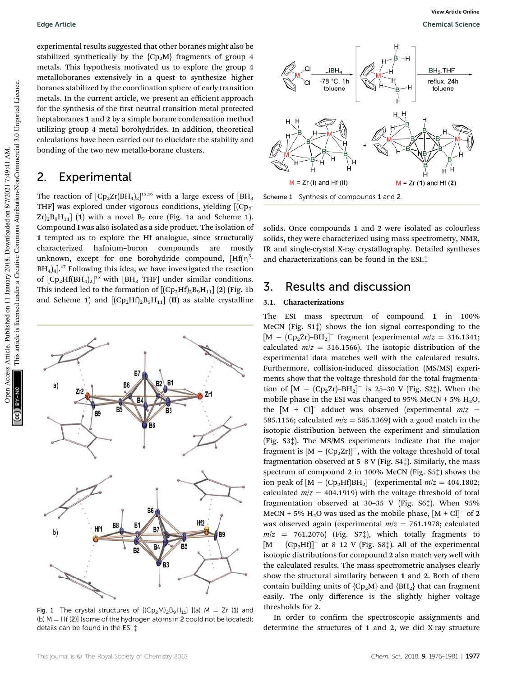experimental results suggested that other boranes might also be stabilized synthetically by the  ${Cp_2M}$  fragments of group 4 metals. This hypothesis motivated us to explore the group 4 metalloboranes extensively in a quest to synthesize higher boranes stabilized by the coordination sphere of early transition metals. In the current article, we present an efficient approach for the synthesis of the first neutral transition metal protected heptaboranes 1 and 2 by a simple borane condensation method utilizing group 4 metal borohydrides. In addition, theoretical calculations have been carried out to elucidate the stability and bonding of the two new metallo-borane clusters.

### 2. Experimental

The reaction of  $[\text{Cp}_2\text{Zr}(\text{BH}_4)_2]^{15,16}$  with a large excess of  $[\text{BH}_3$ THF] was explored under vigorous conditions, yielding  $[(Cp<sub>2</sub> Zr$ <sub>2</sub>B<sub>9</sub>H<sub>11</sub>] (1) with a novel B<sub>7</sub> core (Fig. 1a and Scheme 1). Compound I was also isolated as a side product. The isolation of 1 tempted us to explore the Hf analogue, since structurally characterized hafnium–boron compounds are mostly unknown, except for one borohydride compound,  $[Hf(n)]$  $BH<sub>4</sub>)<sub>4</sub>$ ].<sup>17</sup> Following this idea, we have investigated the reaction of  $[Cp_2Hf(BH_4)_2]^{15}$  with  $[BH_3$  THF] under similar conditions. This indeed led to the formation of  $[(Cp_2Hf)_2B_9H_{11}]$  (2) (Fig. 1b and Scheme 1) and  $[(Cp<sub>2</sub>Hf)<sub>2</sub>B<sub>5</sub>H<sub>11</sub>]$  (II) as stable crystalline



Fig. 1 The crystal structures of  $[(Cp_2M)_2B_9H_{11}]$   $[(a)$   $M = Zr$  (1) and (b)  $M = Hf(2)$ ] (some of the hydrogen atoms in 2 could not be located); details can be found in the ESI.‡



Scheme 1 Synthesis of compounds 1 and 2.

solids. Once compounds 1 and 2 were isolated as colourless solids, they were characterized using mass spectrometry, NMR, IR and single-crystal X-ray crystallography. Detailed syntheses and characterizations can be found in the ESI.‡

### 3. Results and discussion

### 3.1. Characterizations

The ESI mass spectrum of compound 1 in 100% MeCN (Fig. S1‡) shows the ion signal corresponding to the  $[M - (Cp<sub>2</sub>Zr)-BH<sub>2</sub>]<sup>-</sup>$  fragment (experimental  $m/z = 316.1341;$ calculated  $m/z = 316.1566$ ). The isotopic distribution of the experimental data matches well with the calculated results. Furthermore, collision-induced dissociation (MS/MS) experiments show that the voltage threshold for the total fragmentation of  $[M - (Cp_2Zr) – BH_2]$ <sup>-</sup> is 25–30 V (Fig. S2 $\ddagger$ ). When the mobile phase in the ESI was changed to 95% MeCN + 5%  $H_2O$ , the  $[M + Cl]$ <sup>-</sup> adduct was observed (experimental  $m/z =$ 585.1156; calculated  $m/z = 585.1369$  with a good match in the isotopic distribution between the experiment and simulation (Fig. S3‡). The MS/MS experiments indicate that the major fragment is  $[M - (Cp_2Zr)]^{-}$ , with the voltage threshold of total fragmentation observed at  $5-8$  V (Fig.  $S4$ ). Similarly, the mass spectrum of compound 2 in 100% MeCN (Fig. S5‡) shows the ion peak of  $[M - (Cp<sub>2</sub>Hf)BH<sub>2</sub>]$ <sup>-</sup> (experimental  $m/z = 404.1802$ ; calculated  $m/z = 404.1919$ ) with the voltage threshold of total fragmentation observed at 30–35 V (Fig. S6‡). When 95% MeCN + 5%  $\text{H}_2\text{O}$  was used as the mobile phase,  $\text{[M + Cl]}^-$  of 2 was observed again (experimental  $m/z = 761.1978$ ; calculated  $m/z = 761.2076$  (Fig. S7<sup>†</sup>), which totally fragments to  $[M - (Cp<sub>2</sub>Hf)]^-$  at 8-12 V (Fig. S8‡). All of the experimental isotopic distributions for compound 2 also match very well with the calculated results. The mass spectrometric analyses clearly show the structural similarity between 1 and 2. Both of them contain building units of  ${Cp_2M}$  and  ${BH_2}$  that can fragment easily. The only difference is the slightly higher voltage thresholds for 2.

In order to confirm the spectroscopic assignments and determine the structures of 1 and 2, we did X-ray structure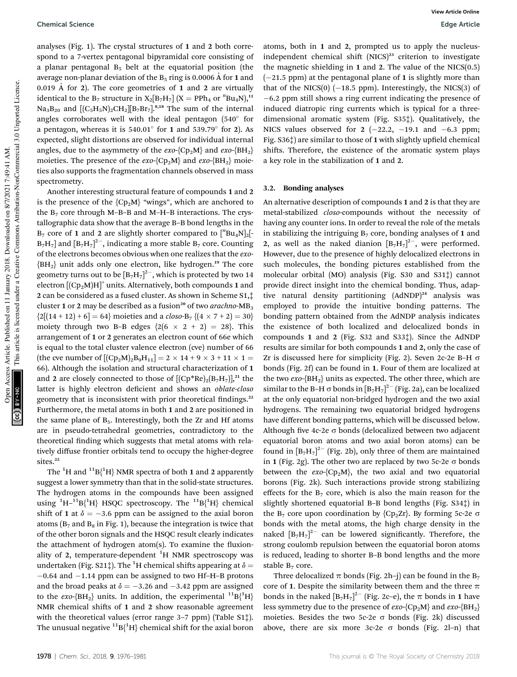analyses (Fig. 1). The crystal structures of 1 and 2 both correspond to a 7-vertex pentagonal bipyramidal core consisting of a planar pentagonal  $B_5$  belt at the equatorial position (the average non-planar deviation of the  $B_5$  ring is 0.0006 Å for 1 and 0.019 Å for 2). The core geometries of 1 and 2 are virtually identical to the B<sub>7</sub> structure in  $X_2[B_7H_7]$   $(X = \text{PPh}_4 \text{ or }^nBu_4N)$ ,<sup>11</sup>  $Na<sub>3</sub>B<sub>20</sub>$  and  $[(C<sub>5</sub>H<sub>5</sub>N)<sub>2</sub>CH<sub>2</sub>][B<sub>7</sub>Br<sub>7</sub>].<sup>8,18</sup>$  The sum of the internal angles corroborates well with the ideal pentagon  $(540^{\circ}$  for a pentagon, whereas it is  $540.01^{\circ}$  for 1 and  $539.79^{\circ}$  for 2). As expected, slight distortions are observed for individual internal angles, due to the asymmetry of the  $exo$ -{Cp<sub>2</sub>M} and  $exo$ -{BH<sub>2</sub>} moieties. The presence of the *exo-*{Cp<sub>2</sub>M} and *exo-*{BH<sub>2</sub>} moieties also supports the fragmentation channels observed in mass spectrometry.

Another interesting structural feature of compounds 1 and 2 is the presence of the  ${Cp_2M}$  "wings", which are anchored to the  $B_7$  core through M–B–B and M–H–B interactions. The crystallographic data show that the average B–B bond lengths in the  $B_7$  core of 1 and 2 are slightly shorter compared to  $\binom{n}{2}$ [ $B\mathbf{u}_4\mathbf{N}$ ]<sub>2</sub>[- $B_7H_7$ ] and  $[B_7H_7]^2$ , indicating a more stable  $B_7$  core. Counting of the electrons becomes obvious when one realizes that the *exo*-  ${BH<sub>2</sub>}$  unit adds only one electron, like hydrogen.<sup>19</sup> The core geometry turns out to be  $[\text{B}_7\text{H}_7]^2$ , which is protected by two 14 electron  $\left[\mathrm{(Cp_2M)H}\right]^+$  units. Alternatively, both compounds 1 and 2 can be considered as a fused cluster. As shown in Scheme S1,‡ cluster 1 or 2 may be described as a fusion<sup>20</sup> of two *arachno*-MB<sub>3</sub>  ${2[(14 + 12) + 6] = 64}$  moieties and a *closo*-B<sub>7</sub>  ${(4 \times 7 + 2) = 30}$ moiety through two B–B edges  $\{2(6 \times 2 + 2) = 28\}$ . This arrangement of 1 or 2 generates an electron count of 66e which is equal to the total cluster valence electron (cve) number of 66 (the cve number of  $[(Cp_2M)_2B_9H_{11}] = 2 \times 14 + 9 \times 3 + 11 \times 1 =$ 66). Although the isolation and structural characterization of 1 and 2 are closely connected to those of  $[(Cp*Re)_2(B_7H_7)]^{21}$  the latter is highly electron decient and shows an *oblate-closo* geometry that is inconsistent with prior theoretical findings.<sup>22</sup> Furthermore, the metal atoms in both 1 and 2 are positioned in the same plane of  $B_5$ . Interestingly, both the Zr and Hf atoms are in pseudo-tetrahedral geometries, contradictory to the theoretical finding which suggests that metal atoms with relatively diffuse frontier orbitals tend to occupy the higher-degree sites.<sup>22</sup>

The  ${}^{1}H$  and  ${}^{11}B{^1H}$  NMR spectra of both 1 and 2 apparently suggest a lower symmetry than that in the solid-state structures. The hydrogen atoms in the compounds have been assigned using  ${}^{1}H-{}^{11}B{ }^{1}H$ } HSQC spectroscopy. The  ${}^{11}B{ }^{1}H$ } chemical shift of 1 at  $\delta = -3.6$  ppm can be assigned to the axial boron atoms ( $B_7$  and  $B_8$  in Fig. 1), because the integration is twice that of the other boron signals and the HSQC result clearly indicates the attachment of hydrogen atom(s). To examine the fluxionality of 2, temperature-dependent  ${}^{1}H$  NMR spectroscopy was undertaken (Fig. S21‡). The <sup>1</sup>H chemical shifts appearing at  $\delta$  = -0.64 and -1.14 ppm can be assigned to two Hf-H-B protons and the broad peaks at  $\delta = -3.26$  and  $-3.42$  ppm are assigned to the *exo*-{ $BH<sub>2</sub>$ } units. In addition, the experimental <sup>11</sup> $B$ {<sup>1</sup> $H$ } NMR chemical shifts of 1 and 2 show reasonable agreement with the theoretical values (error range 3–7 ppm) (Table S1‡). The unusual negative  ${}^{11}B{^1H}$  chemical shift for the axial boron

atoms, both in 1 and 2, prompted us to apply the nucleusindependent chemical shift  $(NICS)^{23}$  criterion to investigate the magnetic shielding in  $1$  and  $2$ . The value of the NICS(0.5) (-21.5 ppm) at the pentagonal plane of 1 is slightly more than that of the NICS $(0)$  (-18.5 ppm). Interestingly, the NICS $(3)$  of -6.2 ppm still shows a ring current indicating the presence of induced diatropic ring currents which is typical for a threedimensional aromatic system (Fig. S35‡). Qualitatively, the NICS values observed for  $2 (-22.2, -19.1, -6.3, -19.1)$ Fig. S36 $\ddagger$ ) are similar to those of 1 with slightly upfield chemical shifts. Therefore, the existence of the aromatic system plays a key role in the stabilization of 1 and 2.

#### 3.2. Bonding analyses

An alternative description of compounds 1 and 2 is that they are metal-stabilized *closo*-compounds without the necessity of having any counter ions. In order to reveal the role of the metals in stabilizing the intriguing  $B_7$  core, bonding analyses of 1 and 2, as well as the naked dianion  $[B_7H_7]^{2-}$ , were performed. However, due to the presence of highly delocalized electrons in such molecules, the bonding pictures established from the molecular orbital (MO) analysis (Fig. S30 and S31‡) cannot provide direct insight into the chemical bonding. Thus, adaptive natural density partitioning (AdNDP)<sup>24</sup> analysis was employed to provide the intuitive bonding patterns. The bonding pattern obtained from the AdNDP analysis indicates the existence of both localized and delocalized bonds in compounds 1 and 2 (Fig. S32 and S33‡). Since the AdNDP results are similar for both compounds 1 and 2, only the case of Zr is discussed here for simplicity (Fig. 2). Seven 2c-2e B-H  $\sigma$ bonds (Fig. 2f) can be found in 1. Four of them are localized at the two  $exo$ - $\{BH<sub>2</sub>\}$  units as expected. The other three, which are similar to the B-H  $\sigma$  bonds in  $[B_7H_7]^{2-}$  (Fig. 2a), can be localized at the only equatorial non-bridged hydrogen and the two axial hydrogens. The remaining two equatorial bridged hydrogens have different bonding patterns, which will be discussed below. Although five 4c-2e  $\sigma$  bonds (delocalized between two adjacent equatorial boron atoms and two axial boron atoms) can be found in  $[B_7H_7]^2$ <sup>-</sup> (Fig. 2b), only three of them are maintained in 1 (Fig. 2g). The other two are replaced by two 5c-2e  $\sigma$  bonds between the  $exo-\{Cp_2M\}$ , the two axial and two equatorial borons (Fig. 2k). Such interactions provide strong stabilizing effects for the  $B_7$  core, which is also the main reason for the slightly shortened equatorial B–B bond lengths (Fig. S34‡) in the  $B_7$  core upon coordination by  ${Cp_2Zr}$ . By forming 5c-2e  $\sigma$ bonds with the metal atoms, the high charge density in the naked  $[B_7H_7]^{2-}$  can be lowered significantly. Therefore, the strong coulomb repulsion between the equatorial boron atoms is reduced, leading to shorter B–B bond lengths and the more stable  $B_7$  core.

Three delocalized  $\pi$  bonds (Fig. 2h–j) can be found in the B<sub>7</sub> core of 1. Despite the similarity between them and the three  $\pi$ bonds in the naked  $[B_7H_7]^2$ <sup>-</sup> (Fig. 2c-e), the  $\pi$  bonds in 1 have less symmetry due to the presence of *exo*-{Cp2M} and *exo*-{BH<sup>2</sup> } moieties. Besides the two 5c-2e  $\sigma$  bonds (Fig. 2k) discussed above, there are six more  $3c-2e$   $\sigma$  bonds (Fig. 2l-n) that

This article is licensed under a Creative Commons Attribution-NonCommercial 3.0 Unported Licence.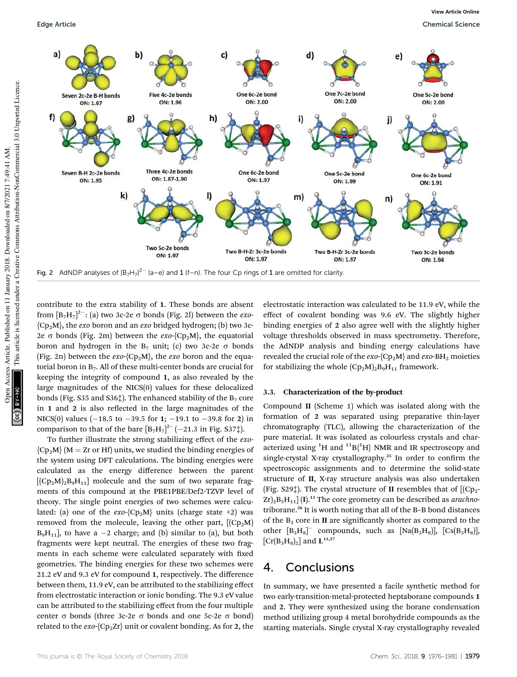

contribute to the extra stability of 1. These bonds are absent from  $[B_7H_7]^2$  : (a) two 3c-2e  $\sigma$  bonds (Fig. 2l) between the *exo*-{Cp2M}, the *exo* boron and an *exo* bridged hydrogen; (b) two 3c-2e  $\sigma$  bonds (Fig. 2m) between the *exo*-{Cp<sub>2</sub>M}, the equatorial boron and hydrogen in the  $B_7$  unit; (c) two 3c-2e  $\sigma$  bonds (Fig. 2n) between the *exo*-{Cp2M}, the *exo* boron and the equatorial boron in  $B<sub>7</sub>$ . All of these multi-center bonds are crucial for keeping the integrity of compound 1, as also revealed by the large magnitudes of the NICS(0) values for these delocalized bonds (Fig. S35 and S36 $\ddagger$ ). The enhanced stability of the B<sub>7</sub> core in  $1$  and  $2$  is also reflected in the large magnitudes of the NICS(0) values  $(-18.5 \text{ to } -39.5 \text{ for } 1; -19.1 \text{ to } -39.8 \text{ for } 2)$  in comparison to that of the bare  $[B_7H_7]^{2-}$  (-21.3 in Fig. S37‡).

To further illustrate the strong stabilizing effect of the *exo*-  ${Cp_2M}$  (M = Zr or Hf) units, we studied the binding energies of the system using DFT calculations. The binding energies were calculated as the energy difference between the parent  $[(Cp<sub>2</sub>M)<sub>2</sub>B<sub>9</sub>H<sub>11</sub>]$  molecule and the sum of two separate fragments of this compound at the PBE1PBE/Def2-TZVP level of theory. The single point energies of two schemes were calculated: (a) one of the  $exo-\{CD_2M\}$  units (charge state +2) was removed from the molecule, leaving the other part,  $[(Cp<sub>2</sub>M)]$  $B_9H_{11}$ , to have a  $-2$  charge; and (b) similar to (a), but both fragments were kept neutral. The energies of these two fragments in each scheme were calculated separately with fixed geometries. The binding energies for these two schemes were 21.2 eV and 9.3 eV for compound 1, respectively. The difference between them, 11.9 eV, can be attributed to the stabilizing effect from electrostatic interaction or ionic bonding. The 9.3 eV value can be attributed to the stabilizing effect from the four multiple center  $\sigma$  bonds (three 3c-2e  $\sigma$  bonds and one 5c-2e  $\sigma$  bond) related to the  $exo$ -{Cp<sub>2</sub>Zr}</sub> unit or covalent bonding. As for 2, the

electrostatic interaction was calculated to be 11.9 eV, while the effect of covalent bonding was 9.6 eV. The slightly higher binding energies of 2 also agree well with the slightly higher voltage thresholds observed in mass spectrometry. Therefore, the AdNDP analysis and binding energy calculations have revealed the crucial role of the  $exo-\{Cp_2M\}$  and  $exo-BH_2$  moieties for stabilizing the whole  $(Cp_2M)_2B_9H_{11}$  framework.

#### 3.3. Characterization of the by-product

Compound II (Scheme 1) which was isolated along with the formation of 2 was separated using preparative thin-layer chromatography (TLC), allowing the characterization of the pure material. It was isolated as colourless crystals and characterized using <sup>1</sup>H and <sup>11</sup>B{<sup>1</sup>H} NMR and IR spectroscopy and single-crystal X-ray crystallography.<sup>25</sup> In order to confirm the spectroscopic assignments and to determine the solid-state structure of II, X-ray structure analysis was also undertaken (Fig. S29<sup>†</sup>). The crystal structure of **II** resembles that of  $[(Cp<sub>2</sub>-Cq<sub>2</sub> + Cq<sub>2</sub> + Cq<sub>2</sub> + Cq<sub>2</sub> + Cq<sub>2</sub> + Cq<sub>2</sub> + Cq<sub>2</sub> + Cq<sub>2</sub> + Cq<sub>2</sub> + Cq<sub>2</sub> + Cq<sub>2</sub> + Cq<sub>2</sub> + Cq<sub>2</sub> + Cq<sub>2</sub> + Cq<sub>2</sub>$  $Zr$ <sub>2</sub>B<sub>5</sub>H<sub>11</sub>] (I).<sup>13</sup> The core geometry can be described as *arachno*triborane.<sup>26</sup> It is worth noting that all of the B–B bond distances of the  $B_3$  core in II are significantly shorter as compared to the other  $[B_3H_8]$ <sup>-</sup> compounds, such as  $[Na(B_3H_8)]$ ,  $[Cs(B_3H_8)]$ ,  $\left[\text{Cr}(B_3H_8)_2\right]$  and **I.**<sup>13,27</sup>

### 4. Conclusions

In summary, we have presented a facile synthetic method for two early-transition-metal-protected heptaborane compounds 1 and 2. They were synthesized using the borane condensation method utilizing group 4 metal borohydride compounds as the starting materials. Single crystal X-ray crystallography revealed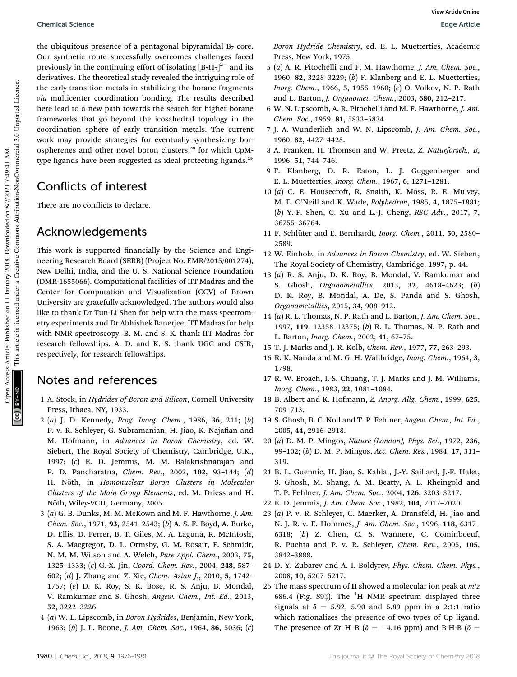the ubiquitous presence of a pentagonal bipyramidal  $B_7$  core. Our synthetic route successfully overcomes challenges faced previously in the continuing effort of isolating  $[B_7H_7]^2$ <sup>-</sup> and its derivatives. The theoretical study revealed the intriguing role of the early transition metals in stabilizing the borane fragments *via* multicenter coordination bonding. The results described here lead to a new path towards the search for higher borane frameworks that go beyond the icosahedral topology in the coordination sphere of early transition metals. The current work may provide strategies for eventually synthesizing borospherenes and other novel boron clusters,<sup>28</sup> for which CpMtype ligands have been suggested as ideal protecting ligands.<sup>29</sup>

### Conflicts of interest

There are no conflicts to declare.

### Acknowledgements

This work is supported financially by the Science and Engineering Research Board (SERB) (Project No. EMR/2015/001274), New Delhi, India, and the U. S. National Science Foundation (DMR-1655066). Computational facilities of IIT Madras and the Center for Computation and Visualization (CCV) of Brown University are gratefully acknowledged. The authors would also like to thank Dr Tun-Li Shen for help with the mass spectrometry experiments and Dr Abhishek Banerjee, IIT Madras for help with NMR spectroscopy. B. M. and S. K. thank IIT Madras for research fellowships. A. D. and K. S. thank UGC and CSIR, respectively, for research fellowships.

### Notes and references

- 1 A. Stock, in *Hydrides of Boron and Silicon*, Cornell University Press, Ithaca, NY, 1933.
- 2 (*a*) J. D. Kennedy, *Prog. Inorg. Chem.*, 1986, 36, 211; (*b*) P. v. R. Schleyer, G. Subramanian, H. Jiao, K. Najafian and M. Hofmann, in *Advances in Boron Chemistry*, ed. W. Siebert, The Royal Society of Chemistry, Cambridge, U.K., 1997; (*c*) E. D. Jemmis, M. M. Balakrishnarajan and P. D. Pancharatna, *Chem. Rev.*, 2002, 102, 93–144; (*d*) H. Nöth, in *Homonuclear Boron Clusters in Molecular Clusters of the Main Group Elements*, ed. M. Driess and H. Nöth, Wiley-VCH, Germany, 2005.
- 3 (*a*) G. B. Dunks, M. M. McKown and M. F. Hawthorne, *J. Am. Chem. Soc.*, 1971, 93, 2541–2543; (*b*) A. S. F. Boyd, A. Burke, D. Ellis, D. Ferrer, B. T. Giles, M. A. Laguna, R. McIntosh, S. A. Macgregor, D. L. Ormsby, G. M. Rosair, F. Schmidt, N. M. M. Wilson and A. Welch, *Pure Appl. Chem.*, 2003, 75, 1325–1333; (*c*) G.-X. Jin, *Coord. Chem. Rev.*, 2004, 248, 587– 602; (*d*) J. Zhang and Z. Xie, *Chem.*–*Asian J.*, 2010, 5, 1742– 1757; (*e*) D. K. Roy, S. K. Bose, R. S. Anju, B. Mondal, V. Ramkumar and S. Ghosh, *Angew. Chem., Int. Ed.*, 2013, 52, 3222–3226.
- 4 (*a*) W. L. Lipscomb, in *Boron Hydrides*, Benjamin, New York, 1963; (*b*) J. L. Boone, *J. Am. Chem. Soc.*, 1964, 86, 5036; (*c*)

*Boron Hydride Chemistry*, ed. E. L. Muetterties, Academic Press, New York, 1975.

- 5 (*a*) A. R. Pitochelli and F. M. Hawthorne, *J. Am. Chem. Soc.*, 1960, 82, 3228–3229; (*b*) F. Klanberg and E. L. Muetterties, *Inorg. Chem.*, 1966, 5, 1955–1960; (*c*) O. Volkov, N. P. Rath and L. Barton, *J. Organomet. Chem.*, 2003, 680, 212–217.
- 6 W. N. Lipscomb, A. R. Pitochelli and M. F. Hawthorne, *J. Am. Chem. Soc.*, 1959, 81, 5833–5834.
- 7 J. A. Wunderlich and W. N. Lipscomb, *J. Am. Chem. Soc.*, 1960, 82, 4427–4428.
- 8 A. Franken, H. Thomsen and W. Preetz, *Z. Naturforsch., B*, 1996, 51, 744–746.
- 9 F. Klanberg, D. R. Eaton, L. J. Guggenberger and E. L. Muetterties, *Inorg. Chem.*, 1967, 6, 1271–1281.
- 10 (*a*) C. E. Housecroft, R. Snaith, K. Moss, R. E. Mulvey, M. E. O'Neill and K. Wade, *Polyhedron*, 1985, 4, 1875–1881; (*b*) Y.-F. Shen, C. Xu and L.-J. Cheng, *RSC Adv.*, 2017, 7, 36755–36764.
- 11 F. Schlüter and E. Bernhardt, *Inorg. Chem.*, 2011, 50, 2580-2589.
- 12 W. Einholz, in *Advances in Boron Chemistry*, ed. W. Siebert, The Royal Society of Chemistry, Cambridge, 1997, p. 44.
- 13 (*a*) R. S. Anju, D. K. Roy, B. Mondal, V. Ramkumar and S. Ghosh, *Organometallics*, 2013, 32, 4618–4623; (*b*) D. K. Roy, B. Mondal, A. De, S. Panda and S. Ghosh, *Organometallics*, 2015, 34, 908–912.
- 14 (*a*) R. L. Thomas, N. P. Rath and L. Barton, *J. Am. Chem. Soc.*, 1997, 119, 12358–12375; (*b*) R. L. Thomas, N. P. Rath and L. Barton, *Inorg. Chem.*, 2002, 41, 67–75.
- 15 T. J. Marks and J. R. Kolb, *Chem. Rev.*, 1977, 77, 263–293.
- 16 R. K. Nanda and M. G. H. Wallbridge, *Inorg. Chem.*, 1964, 3, 1798.
- 17 R. W. Broach, I.-S. Chuang, T. J. Marks and J. M. Williams, *Inorg. Chem.*, 1983, 22, 1081–1084.
- 18 B. Albert and K. Hofmann, *Z. Anorg. Allg. Chem.*, 1999, 625, 709–713.
- 19 S. Ghosh, B. C. Noll and T. P. Fehlner, *Angew. Chem., Int. Ed.*, 2005, 44, 2916–2918.
- 20 (*a*) D. M. P. Mingos, *Nature (London), Phys. Sci.*, 1972, 236, 99–102; (*b*) D. M. P. Mingos, *Acc. Chem. Res.*, 1984, 17, 311– 319.
- 21 B. L. Guennic, H. Jiao, S. Kahlal, J.-Y. Saillard, J.-F. Halet, S. Ghosh, M. Shang, A. M. Beatty, A. L. Rheingold and T. P. Fehlner, *J. Am. Chem. Soc.*, 2004, 126, 3203–3217.
- 22 E. D. Jemmis, *J. Am. Chem. Soc.*, 1982, 104, 7017–7020.
- 23 (*a*) P. v. R. Schleyer, C. Maerker, A. Dransfeld, H. Jiao and N. J. R. v. E. Hommes, *J. Am. Chem. Soc.*, 1996, 118, 6317– 6318; (*b*) Z. Chen, C. S. Wannere, C. Cominboeuf, R. Puchta and P. v. R. Schleyer, *Chem. Rev.*, 2005, 105, 3842–3888.
- 24 D. Y. Zubarev and A. I. Boldyrev, *Phys. Chem. Chem. Phys.*, 2008, 10, 5207–5217.
- 25 The mass spectrum of II showed a molecular ion peak at *m*/*z* 686.4 (Fig.  $S9_*^+$ ). The <sup>1</sup>H NMR spectrum displayed three signals at  $\delta = 5.92$ , 5.90 and 5.89 ppm in a 2:1:1 ratio which rationalizes the presence of two types of Cp ligand. The presence of Zr-H-B ( $\delta$  = -4.16 ppm) and B-H-B ( $\delta$  =